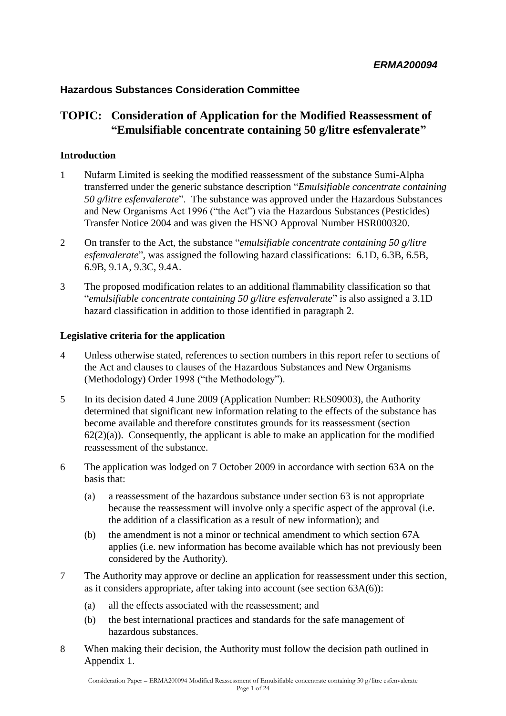### **Hazardous Substances Consideration Committee**

### **TOPIC: Consideration of Application for the Modified Reassessment of "Emulsifiable concentrate containing 50 g/litre esfenvalerate"**

### **Introduction**

- 1 Nufarm Limited is seeking the modified reassessment of the substance Sumi-Alpha transferred under the generic substance description ―*Emulsifiable concentrate containing 50 g/litre esfenvalerate*". The substance was approved under the Hazardous Substances and New Organisms Act 1996 ("the Act") via the Hazardous Substances (Pesticides) Transfer Notice 2004 and was given the HSNO Approval Number HSR000320.
- 2 On transfer to the Act, the substance "*emulsifiable concentrate containing 50 g/litre esfenvalerate*", was assigned the following hazard classifications: 6.1D, 6.3B, 6.5B, 6.9B, 9.1A, 9.3C, 9.4A.
- 3 The proposed modification relates to an additional flammability classification so that ―*emulsifiable concentrate containing 50 g/litre esfenvalerate*‖ is also assigned a 3.1D hazard classification in addition to those identified in paragraph 2.

### **Legislative criteria for the application**

- 4 Unless otherwise stated, references to section numbers in this report refer to sections of the Act and clauses to clauses of the Hazardous Substances and New Organisms (Methodology) Order 1998 ("the Methodology").
- 5 In its decision dated 4 June 2009 (Application Number: RES09003), the Authority determined that significant new information relating to the effects of the substance has become available and therefore constitutes grounds for its reassessment (section  $62(2)(a)$ ). Consequently, the applicant is able to make an application for the modified reassessment of the substance.
- 6 The application was lodged on 7 October 2009 in accordance with section 63A on the basis that:
	- (a) a reassessment of the hazardous substance under section 63 is not appropriate because the reassessment will involve only a specific aspect of the approval (i.e. the addition of a classification as a result of new information); and
	- (b) the amendment is not a minor or technical amendment to which section 67A applies (i.e. new information has become available which has not previously been considered by the Authority).
- 7 The Authority may approve or decline an application for reassessment under this section, as it considers appropriate, after taking into account (see section 63A(6)):
	- (a) all the effects associated with the reassessment; and
	- (b) the best international practices and standards for the safe management of hazardous substances.
- 8 When making their decision, the Authority must follow the decision path outlined in Appendix 1.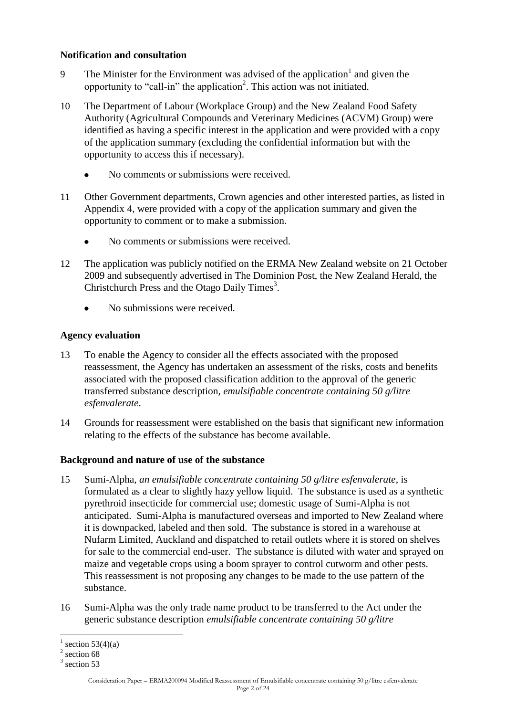### **Notification and consultation**

- 9 The Minister for the Environment was advised of the application<sup>1</sup> and given the opportunity to "call-in" the application<sup>2</sup>. This action was not initiated.
- 10 The Department of Labour (Workplace Group) and the New Zealand Food Safety Authority (Agricultural Compounds and Veterinary Medicines (ACVM) Group) were identified as having a specific interest in the application and were provided with a copy of the application summary (excluding the confidential information but with the opportunity to access this if necessary).
	- No comments or submissions were received.
- 11 Other Government departments, Crown agencies and other interested parties, as listed in Appendix 4, were provided with a copy of the application summary and given the opportunity to comment or to make a submission.
	- No comments or submissions were received.
- 12 The application was publicly notified on the ERMA New Zealand website on 21 October 2009 and subsequently advertised in The Dominion Post, the New Zealand Herald, the Christchurch Press and the Otago Daily Times<sup>3</sup>.
	- No submissions were received.

### **Agency evaluation**

- 13 To enable the Agency to consider all the effects associated with the proposed reassessment, the Agency has undertaken an assessment of the risks, costs and benefits associated with the proposed classification addition to the approval of the generic transferred substance description, *emulsifiable concentrate containing 50 g/litre esfenvalerate*.
- 14 Grounds for reassessment were established on the basis that significant new information relating to the effects of the substance has become available.

### **Background and nature of use of the substance**

- 15 Sumi-Alpha, *an emulsifiable concentrate containing 50 g/litre esfenvalerate*, is formulated as a clear to slightly hazy yellow liquid. The substance is used as a synthetic pyrethroid insecticide for commercial use; domestic usage of Sumi-Alpha is not anticipated. Sumi-Alpha is manufactured overseas and imported to New Zealand where it is downpacked, labeled and then sold. The substance is stored in a warehouse at Nufarm Limited, Auckland and dispatched to retail outlets where it is stored on shelves for sale to the commercial end-user. The substance is diluted with water and sprayed on maize and vegetable crops using a boom sprayer to control cutworm and other pests. This reassessment is not proposing any changes to be made to the use pattern of the substance.
- 16 Sumi-Alpha was the only trade name product to be transferred to the Act under the generic substance description *emulsifiable concentrate containing 50 g/litre*

 $\overline{a}$ 

 $\frac{1}{2}$  section 68<br><sup>2</sup> section 68

 $3$  section 53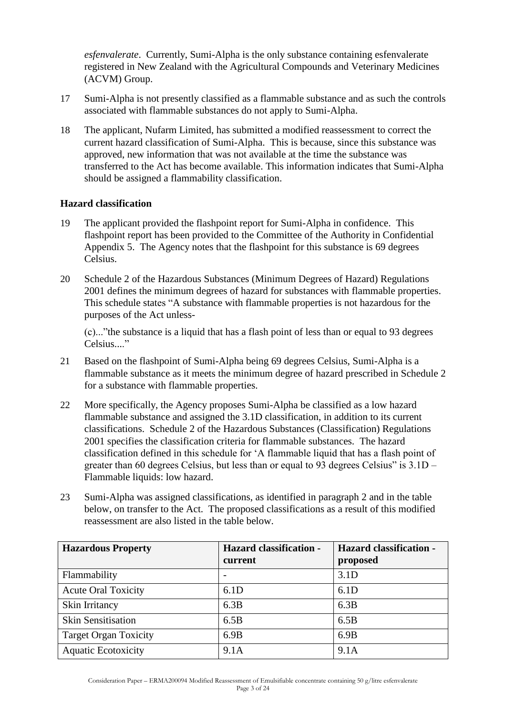*esfenvalerate*. Currently, Sumi-Alpha is the only substance containing esfenvalerate registered in New Zealand with the Agricultural Compounds and Veterinary Medicines (ACVM) Group.

- 17 Sumi-Alpha is not presently classified as a flammable substance and as such the controls associated with flammable substances do not apply to Sumi-Alpha.
- 18 The applicant, Nufarm Limited, has submitted a modified reassessment to correct the current hazard classification of Sumi-Alpha. This is because, since this substance was approved, new information that was not available at the time the substance was transferred to the Act has become available. This information indicates that Sumi-Alpha should be assigned a flammability classification.

### **Hazard classification**

- 19 The applicant provided the flashpoint report for Sumi-Alpha in confidence. This flashpoint report has been provided to the Committee of the Authority in Confidential Appendix 5. The Agency notes that the flashpoint for this substance is 69 degrees Celsius.
- 20 Schedule 2 of the Hazardous Substances (Minimum Degrees of Hazard) Regulations 2001 defines the minimum degrees of hazard for substances with flammable properties. This schedule states "A substance with flammable properties is not hazardous for the purposes of the Act unless-

 $(c)$ ..."the substance is a liquid that has a flash point of less than or equal to 93 degrees Celsius...."

- 21 Based on the flashpoint of Sumi-Alpha being 69 degrees Celsius, Sumi-Alpha is a flammable substance as it meets the minimum degree of hazard prescribed in Schedule 2 for a substance with flammable properties.
- 22 More specifically, the Agency proposes Sumi-Alpha be classified as a low hazard flammable substance and assigned the 3.1D classification, in addition to its current classifications. Schedule 2 of the Hazardous Substances (Classification) Regulations 2001 specifies the classification criteria for flammable substances. The hazard classification defined in this schedule for ‗A flammable liquid that has a flash point of greater than 60 degrees Celsius, but less than or equal to 93 degrees Celsius" is  $3.1D -$ Flammable liquids: low hazard.
- 23 Sumi-Alpha was assigned classifications, as identified in paragraph 2 and in the table below, on transfer to the Act. The proposed classifications as a result of this modified reassessment are also listed in the table below.

| <b>Hazardous Property</b>    | <b>Hazard classification -</b> | <b>Hazard classification -</b> |
|------------------------------|--------------------------------|--------------------------------|
|                              | current                        | proposed                       |
| Flammability                 |                                | 3.1D                           |
| <b>Acute Oral Toxicity</b>   | 6.1D                           | 6.1D                           |
| Skin Irritancy               | 6.3B                           | 6.3B                           |
| <b>Skin Sensitisation</b>    | 6.5B                           | 6.5B                           |
| <b>Target Organ Toxicity</b> | 6.9B                           | 6.9B                           |
| <b>Aquatic Ecotoxicity</b>   | 9.1A                           | 9.1A                           |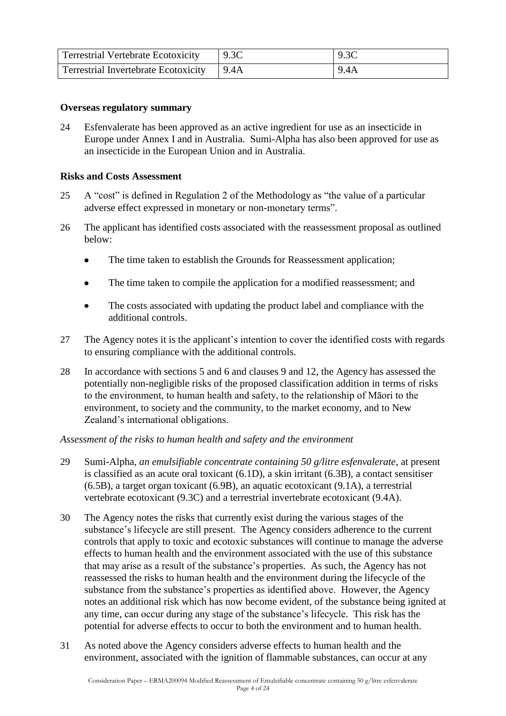| <b>Terrestrial Vertebrate Ecotoxicity</b>   | 9.3C | 9.3C |
|---------------------------------------------|------|------|
| Terrestrial Invertebrate Ecotoxicity   9.4A |      | 9.4A |

### **Overseas regulatory summary**

24 Esfenvalerate has been approved as an active ingredient for use as an insecticide in Europe under Annex I and in Australia. Sumi-Alpha has also been approved for use as an insecticide in the European Union and in Australia.

### **Risks and Costs Assessment**

- 25 A "cost" is defined in Regulation 2 of the Methodology as "the value of a particular adverse effect expressed in monetary or non-monetary terms".
- 26 The applicant has identified costs associated with the reassessment proposal as outlined below:
	- The time taken to establish the Grounds for Reassessment application;
	- The time taken to compile the application for a modified reassessment; and
	- The costs associated with updating the product label and compliance with the additional controls.
- 27 The Agency notes it is the applicant's intention to cover the identified costs with regards to ensuring compliance with the additional controls.
- 28 In accordance with sections 5 and 6 and clauses 9 and 12, the Agency has assessed the potentially non-negligible risks of the proposed classification addition in terms of risks to the environment, to human health and safety, to the relationship of Māori to the environment, to society and the community, to the market economy, and to New Zealand's international obligations.

### *Assessment of the risks to human health and safety and the environment*

- 29 Sumi-Alpha, *an emulsifiable concentrate containing 50 g/litre esfenvalerate*, at present is classified as an acute oral toxicant (6.1D), a skin irritant (6.3B), a contact sensitiser (6.5B), a target organ toxicant (6.9B), an aquatic ecotoxicant (9.1A), a terrestrial vertebrate ecotoxicant (9.3C) and a terrestrial invertebrate ecotoxicant (9.4A).
- 30 The Agency notes the risks that currently exist during the various stages of the substance's lifecycle are still present. The Agency considers adherence to the current controls that apply to toxic and ecotoxic substances will continue to manage the adverse effects to human health and the environment associated with the use of this substance that may arise as a result of the substance's properties. As such, the Agency has not reassessed the risks to human health and the environment during the lifecycle of the substance from the substance's properties as identified above. However, the Agency notes an additional risk which has now become evident, of the substance being ignited at any time, can occur during any stage of the substance's lifecycle. This risk has the potential for adverse effects to occur to both the environment and to human health.
- 31 As noted above the Agency considers adverse effects to human health and the environment, associated with the ignition of flammable substances, can occur at any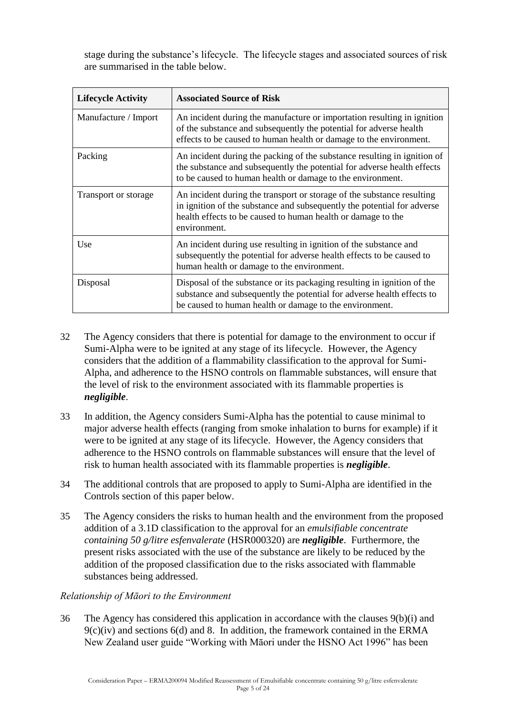stage during the substance's lifecycle. The lifecycle stages and associated sources of risk are summarised in the table below.

| <b>Lifecycle Activity</b> | <b>Associated Source of Risk</b>                                                                                                                                                                                                  |
|---------------------------|-----------------------------------------------------------------------------------------------------------------------------------------------------------------------------------------------------------------------------------|
| Manufacture / Import      | An incident during the manufacture or importation resulting in ignition<br>of the substance and subsequently the potential for adverse health<br>effects to be caused to human health or damage to the environment.               |
| Packing                   | An incident during the packing of the substance resulting in ignition of<br>the substance and subsequently the potential for adverse health effects<br>to be caused to human health or damage to the environment.                 |
| Transport or storage      | An incident during the transport or storage of the substance resulting<br>in ignition of the substance and subsequently the potential for adverse<br>health effects to be caused to human health or damage to the<br>environment. |
| Use                       | An incident during use resulting in ignition of the substance and<br>subsequently the potential for adverse health effects to be caused to<br>human health or damage to the environment.                                          |
| Disposal                  | Disposal of the substance or its packaging resulting in ignition of the<br>substance and subsequently the potential for adverse health effects to<br>be caused to human health or damage to the environment.                      |

- 32 The Agency considers that there is potential for damage to the environment to occur if Sumi-Alpha were to be ignited at any stage of its lifecycle. However, the Agency considers that the addition of a flammability classification to the approval for Sumi-Alpha, and adherence to the HSNO controls on flammable substances, will ensure that the level of risk to the environment associated with its flammable properties is *negligible*.
- 33 In addition, the Agency considers Sumi-Alpha has the potential to cause minimal to major adverse health effects (ranging from smoke inhalation to burns for example) if it were to be ignited at any stage of its lifecycle. However, the Agency considers that adherence to the HSNO controls on flammable substances will ensure that the level of risk to human health associated with its flammable properties is *negligible*.
- 34 The additional controls that are proposed to apply to Sumi-Alpha are identified in the Controls section of this paper below.
- 35 The Agency considers the risks to human health and the environment from the proposed addition of a 3.1D classification to the approval for an *emulsifiable concentrate containing 50 g/litre esfenvalerate* (HSR000320) are *negligible*. Furthermore, the present risks associated with the use of the substance are likely to be reduced by the addition of the proposed classification due to the risks associated with flammable substances being addressed.

### *Relationship of Māori to the Environment*

36 The Agency has considered this application in accordance with the clauses 9(b)(i) and  $9(c)(iv)$  and sections 6(d) and 8. In addition, the framework contained in the ERMA New Zealand user guide "Working with Māori under the HSNO Act 1996" has been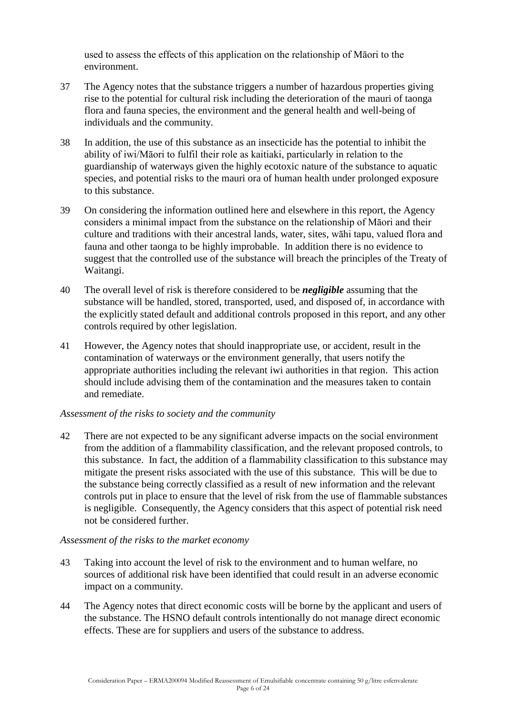used to assess the effects of this application on the relationship of Māori to the environment.

- 37 The Agency notes that the substance triggers a number of hazardous properties giving rise to the potential for cultural risk including the deterioration of the mauri of taonga flora and fauna species, the environment and the general health and well-being of individuals and the community.
- 38 In addition, the use of this substance as an insecticide has the potential to inhibit the ability of iwi/Māori to fulfil their role as kaitiaki, particularly in relation to the guardianship of waterways given the highly ecotoxic nature of the substance to aquatic species, and potential risks to the mauri ora of human health under prolonged exposure to this substance.
- 39 On considering the information outlined here and elsewhere in this report, the Agency considers a minimal impact from the substance on the relationship of Māori and their culture and traditions with their ancestral lands, water, sites, wāhi tapu, valued flora and fauna and other taonga to be highly improbable. In addition there is no evidence to suggest that the controlled use of the substance will breach the principles of the Treaty of Waitangi.
- 40 The overall level of risk is therefore considered to be *negligible* assuming that the substance will be handled, stored, transported, used, and disposed of, in accordance with the explicitly stated default and additional controls proposed in this report, and any other controls required by other legislation.
- 41 However, the Agency notes that should inappropriate use, or accident, result in the contamination of waterways or the environment generally, that users notify the appropriate authorities including the relevant iwi authorities in that region. This action should include advising them of the contamination and the measures taken to contain and remediate.

### *Assessment of the risks to society and the community*

42 There are not expected to be any significant adverse impacts on the social environment from the addition of a flammability classification, and the relevant proposed controls, to this substance. In fact, the addition of a flammability classification to this substance may mitigate the present risks associated with the use of this substance. This will be due to the substance being correctly classified as a result of new information and the relevant controls put in place to ensure that the level of risk from the use of flammable substances is negligible. Consequently, the Agency considers that this aspect of potential risk need not be considered further.

### *Assessment of the risks to the market economy*

- 43 Taking into account the level of risk to the environment and to human welfare, no sources of additional risk have been identified that could result in an adverse economic impact on a community.
- 44 The Agency notes that direct economic costs will be borne by the applicant and users of the substance. The HSNO default controls intentionally do not manage direct economic effects. These are for suppliers and users of the substance to address.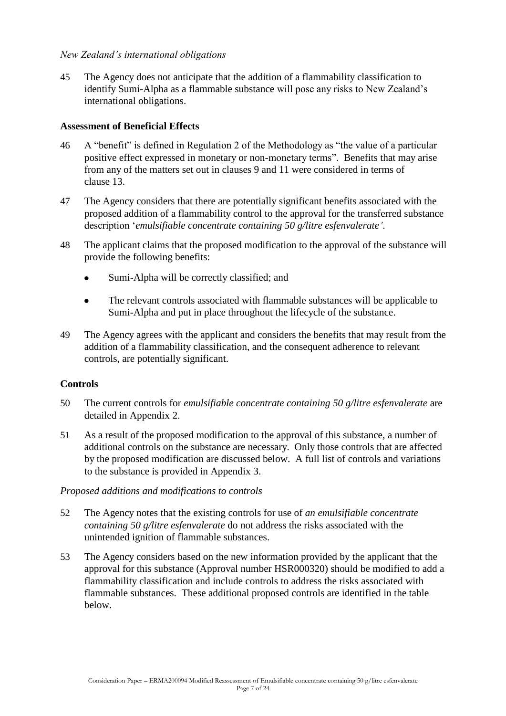### *New Zealand"s international obligations*

45 The Agency does not anticipate that the addition of a flammability classification to identify Sumi-Alpha as a flammable substance will pose any risks to New Zealand's international obligations.

### **Assessment of Beneficial Effects**

- 46 A "benefit" is defined in Regulation 2 of the Methodology as "the value of a particular positive effect expressed in monetary or non-monetary terms". Benefits that may arise from any of the matters set out in clauses 9 and 11 were considered in terms of clause 13.
- 47 The Agency considers that there are potentially significant benefits associated with the proposed addition of a flammability control to the approval for the transferred substance description ‗*emulsifiable concentrate containing 50 g/litre esfenvalerate"*.
- 48 The applicant claims that the proposed modification to the approval of the substance will provide the following benefits:
	- Sumi-Alpha will be correctly classified; and
	- The relevant controls associated with flammable substances will be applicable to Sumi-Alpha and put in place throughout the lifecycle of the substance.
- 49 The Agency agrees with the applicant and considers the benefits that may result from the addition of a flammability classification, and the consequent adherence to relevant controls, are potentially significant.

### **Controls**

- 50 The current controls for *emulsifiable concentrate containing 50 g/litre esfenvalerate* are detailed in Appendix 2.
- 51 As a result of the proposed modification to the approval of this substance, a number of additional controls on the substance are necessary. Only those controls that are affected by the proposed modification are discussed below. A full list of controls and variations to the substance is provided in Appendix 3.

### *Proposed additions and modifications to controls*

- 52 The Agency notes that the existing controls for use of *an emulsifiable concentrate containing 50 g/litre esfenvalerate* do not address the risks associated with the unintended ignition of flammable substances.
- 53 The Agency considers based on the new information provided by the applicant that the approval for this substance (Approval number HSR000320) should be modified to add a flammability classification and include controls to address the risks associated with flammable substances. These additional proposed controls are identified in the table below.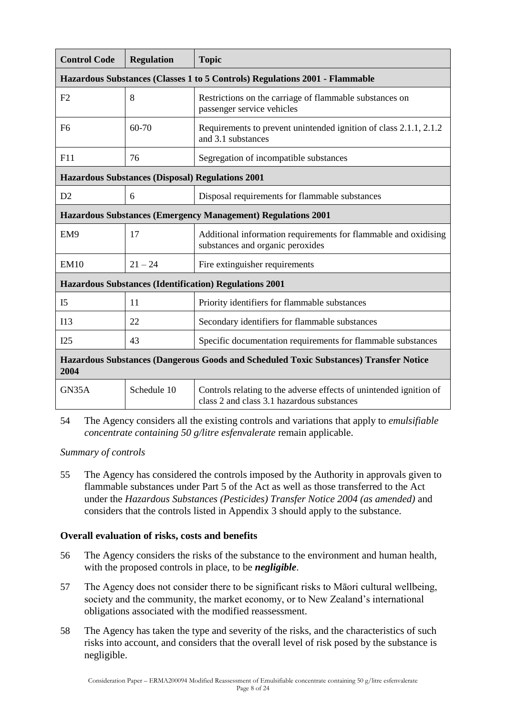| <b>Control Code</b>                                                                           | <b>Regulation</b> | <b>Topic</b>                                                                                                     |
|-----------------------------------------------------------------------------------------------|-------------------|------------------------------------------------------------------------------------------------------------------|
|                                                                                               |                   | Hazardous Substances (Classes 1 to 5 Controls) Regulations 2001 - Flammable                                      |
| F2                                                                                            | 8                 | Restrictions on the carriage of flammable substances on<br>passenger service vehicles                            |
| F <sub>6</sub>                                                                                | 60-70             | Requirements to prevent unintended ignition of class 2.1.1, 2.1.2<br>and 3.1 substances                          |
| F11                                                                                           | 76                | Segregation of incompatible substances                                                                           |
|                                                                                               |                   | <b>Hazardous Substances (Disposal) Regulations 2001</b>                                                          |
| D2                                                                                            | 6                 | Disposal requirements for flammable substances                                                                   |
| <b>Hazardous Substances (Emergency Management) Regulations 2001</b>                           |                   |                                                                                                                  |
| EM9                                                                                           | 17                | Additional information requirements for flammable and oxidising<br>substances and organic peroxides              |
| <b>EM10</b>                                                                                   | $21 - 24$         | Fire extinguisher requirements                                                                                   |
|                                                                                               |                   | <b>Hazardous Substances (Identification) Regulations 2001</b>                                                    |
| I <sub>5</sub>                                                                                | 11                | Priority identifiers for flammable substances                                                                    |
| I13                                                                                           | 22                | Secondary identifiers for flammable substances                                                                   |
| I25                                                                                           | 43                | Specific documentation requirements for flammable substances                                                     |
| Hazardous Substances (Dangerous Goods and Scheduled Toxic Substances) Transfer Notice<br>2004 |                   |                                                                                                                  |
| GN35A                                                                                         | Schedule 10       | Controls relating to the adverse effects of unintended ignition of<br>class 2 and class 3.1 hazardous substances |

54 The Agency considers all the existing controls and variations that apply to *emulsifiable concentrate containing 50 g/litre esfenvalerate* remain applicable.

*Summary of controls*

55 The Agency has considered the controls imposed by the Authority in approvals given to flammable substances under Part 5 of the Act as well as those transferred to the Act under the *Hazardous Substances (Pesticides) Transfer Notice 2004 (as amended)* and considers that the controls listed in Appendix 3 should apply to the substance.

### **Overall evaluation of risks, costs and benefits**

- 56 The Agency considers the risks of the substance to the environment and human health, with the proposed controls in place, to be *negligible*.
- 57 The Agency does not consider there to be significant risks to Māori cultural wellbeing, society and the community, the market economy, or to New Zealand's international obligations associated with the modified reassessment.
- 58 The Agency has taken the type and severity of the risks, and the characteristics of such risks into account, and considers that the overall level of risk posed by the substance is negligible.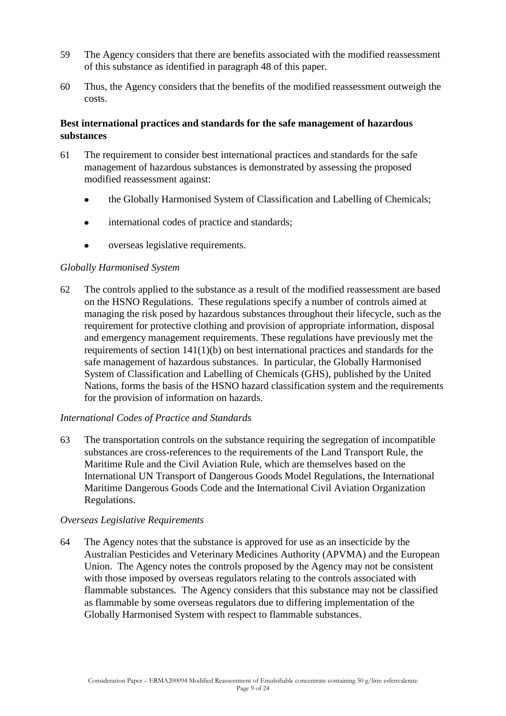- 59 The Agency considers that there are benefits associated with the modified reassessment of this substance as identified in paragraph 48 of this paper.
- 60 Thus, the Agency considers that the benefits of the modified reassessment outweigh the costs.

### **Best international practices and standards for the safe management of hazardous substances**

- 61 The requirement to consider best international practices and standards for the safe management of hazardous substances is demonstrated by assessing the proposed modified reassessment against:
	- the Globally Harmonised System of Classification and Labelling of Chemicals;  $\bullet$
	- international codes of practice and standards;
	- overseas legislative requirements.

### *Globally Harmonised System*

62 The controls applied to the substance as a result of the modified reassessment are based on the HSNO Regulations. These regulations specify a number of controls aimed at managing the risk posed by hazardous substances throughout their lifecycle, such as the requirement for protective clothing and provision of appropriate information, disposal and emergency management requirements. These regulations have previously met the requirements of section 141(1)(b) on best international practices and standards for the safe management of hazardous substances. In particular, the Globally Harmonised System of Classification and Labelling of Chemicals (GHS), published by the United Nations, forms the basis of the HSNO hazard classification system and the requirements for the provision of information on hazards.

### *International Codes of Practice and Standards*

63 The transportation controls on the substance requiring the segregation of incompatible substances are cross-references to the requirements of the Land Transport Rule, the Maritime Rule and the Civil Aviation Rule, which are themselves based on the International UN Transport of Dangerous Goods Model Regulations, the International Maritime Dangerous Goods Code and the International Civil Aviation Organization Regulations.

### *Overseas Legislative Requirements*

64 The Agency notes that the substance is approved for use as an insecticide by the Australian Pesticides and Veterinary Medicines Authority (APVMA) and the European Union. The Agency notes the controls proposed by the Agency may not be consistent with those imposed by overseas regulators relating to the controls associated with flammable substances. The Agency considers that this substance may not be classified as flammable by some overseas regulators due to differing implementation of the Globally Harmonised System with respect to flammable substances.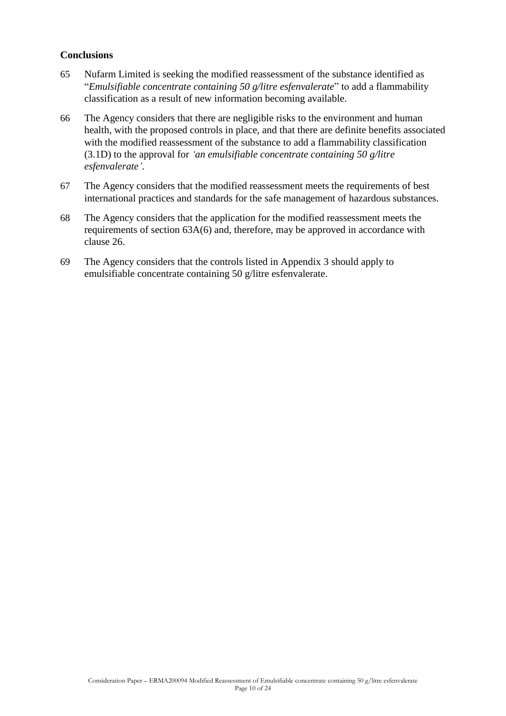### **Conclusions**

- 65 Nufarm Limited is seeking the modified reassessment of the substance identified as ―*Emulsifiable concentrate containing 50 g/litre esfenvalerate*‖ to add a flammability classification as a result of new information becoming available.
- 66 The Agency considers that there are negligible risks to the environment and human health, with the proposed controls in place, and that there are definite benefits associated with the modified reassessment of the substance to add a flammability classification (3.1D) to the approval for *"an emulsifiable concentrate containing 50 g/litre esfenvalerate"*.
- 67 The Agency considers that the modified reassessment meets the requirements of best international practices and standards for the safe management of hazardous substances.
- 68 The Agency considers that the application for the modified reassessment meets the requirements of section 63A(6) and, therefore, may be approved in accordance with clause 26.
- 69 The Agency considers that the controls listed in Appendix 3 should apply to emulsifiable concentrate containing 50 g/litre esfenvalerate.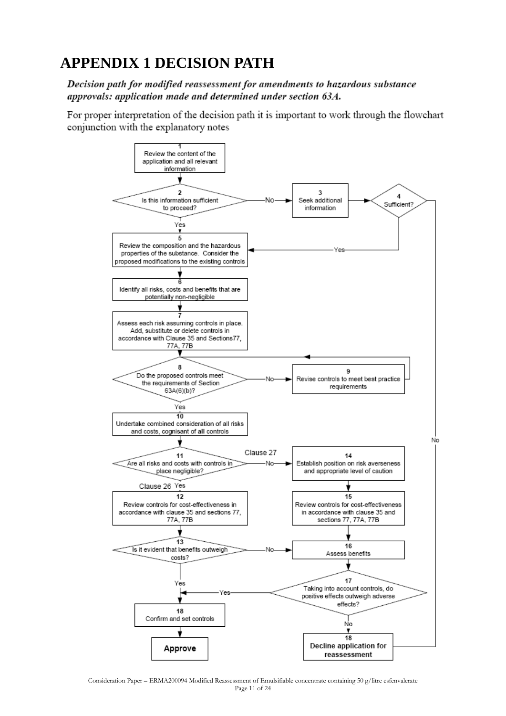# **APPENDIX 1 DECISION PATH**

Decision path for modified reassessment for amendments to hazardous substance approvals: application made and determined under section 63A.

For proper interpretation of the decision path it is important to work through the flowchart conjunction with the explanatory notes

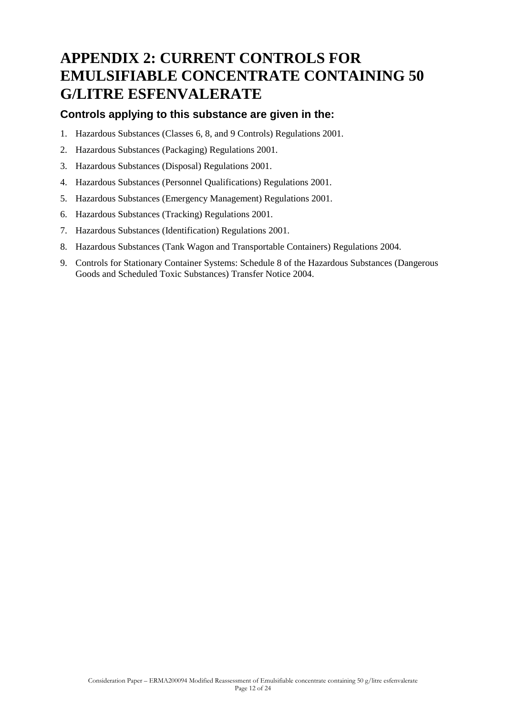# **APPENDIX 2: CURRENT CONTROLS FOR EMULSIFIABLE CONCENTRATE CONTAINING 50 G/LITRE ESFENVALERATE**

### **Controls applying to this substance are given in the:**

- 1. Hazardous Substances (Classes 6, 8, and 9 Controls) Regulations 2001.
- 2. Hazardous Substances (Packaging) Regulations 2001.
- 3. Hazardous Substances (Disposal) Regulations 2001.
- 4. Hazardous Substances (Personnel Qualifications) Regulations 2001.
- 5. Hazardous Substances (Emergency Management) Regulations 2001.
- 6. Hazardous Substances (Tracking) Regulations 2001.
- 7. Hazardous Substances (Identification) Regulations 2001.
- 8. Hazardous Substances (Tank Wagon and Transportable Containers) Regulations 2004.
- 9. Controls for Stationary Container Systems: Schedule 8 of the Hazardous Substances (Dangerous Goods and Scheduled Toxic Substances) Transfer Notice 2004.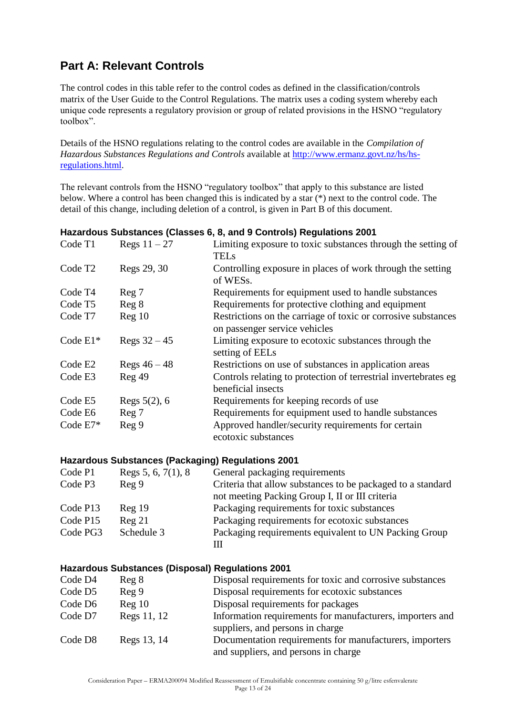## **Part A: Relevant Controls**

The control codes in this table refer to the control codes as defined in the classification/controls matrix of the User Guide to the Control Regulations. The matrix uses a coding system whereby each unique code represents a regulatory provision or group of related provisions in the HSNO "regulatory toolbox".

Details of the HSNO regulations relating to the control codes are available in the *Compilation of Hazardous Substances Regulations and Controls* available at [http://www.ermanz.govt.nz/hs/hs](http://www.ermanz.govt.nz/hs/hs-regulations.html)[regulations.html.](http://www.ermanz.govt.nz/hs/hs-regulations.html)

The relevant controls from the HSNO "regulatory toolbox" that apply to this substance are listed below. Where a control has been changed this is indicated by a star (\*) next to the control code. The detail of this change, including deletion of a control, is given in Part B of this document.

|                     |                   | <u>Hazardous Oubstances (Olasses 6, 6, and 9 Obitions) Regulations Zoo F</u>                   |
|---------------------|-------------------|------------------------------------------------------------------------------------------------|
| Code T1             | Regs $11-27$      | Limiting exposure to toxic substances through the setting of                                   |
|                     |                   | <b>TELs</b>                                                                                    |
| Code T <sub>2</sub> | Regs 29, 30       | Controlling exposure in places of work through the setting<br>of WESs.                         |
| Code T <sub>4</sub> | Reg 7             | Requirements for equipment used to handle substances                                           |
| Code T <sub>5</sub> | Reg 8             | Requirements for protective clothing and equipment                                             |
| Code T7             | Reg <sub>10</sub> | Restrictions on the carriage of toxic or corrosive substances<br>on passenger service vehicles |
| Code $E1*$          | Regs $32 - 45$    | Limiting exposure to ecotoxic substances through the<br>setting of EELs                        |
| Code E <sub>2</sub> | Regs $46 - 48$    | Restrictions on use of substances in application areas                                         |
| Code E3             | Reg 49            | Controls relating to protection of terrestrial invertebrates eg<br>beneficial insects          |
| Code E5             | Regs $5(2)$ , 6   | Requirements for keeping records of use                                                        |
| Code E6             | Reg 7             | Requirements for equipment used to handle substances                                           |
| Code E7*            | Reg 9             | Approved handler/security requirements for certain<br>ecotoxic substances                      |
|                     |                   |                                                                                                |

### **Hazardous Substances (Classes 6, 8, and 9 Controls) Regulations 2001**

### **Hazardous Substances (Packaging) Regulations 2001**

| Code P1  | Regs $5, 6, 7(1), 8$ | General packaging requirements                              |
|----------|----------------------|-------------------------------------------------------------|
| Code P3  | Reg 9                | Criteria that allow substances to be packaged to a standard |
|          |                      | not meeting Packing Group I, II or III criteria             |
| Code P13 | Reg <sub>19</sub>    | Packaging requirements for toxic substances                 |
| Code P15 | Reg 21               | Packaging requirements for ecotoxic substances              |
| Code PG3 | Schedule 3           | Packaging requirements equivalent to UN Packing Group       |
|          |                      | Ш                                                           |

### **Hazardous Substances (Disposal) Regulations 2001**

| Code D4             | Reg 8             | Disposal requirements for toxic and corrosive substances  |
|---------------------|-------------------|-----------------------------------------------------------|
| Code D <sub>5</sub> | Reg 9             | Disposal requirements for ecotoxic substances             |
| Code D6             | Reg <sub>10</sub> | Disposal requirements for packages                        |
| Code D7             | Regs 11, 12       | Information requirements for manufacturers, importers and |
|                     |                   | suppliers, and persons in charge                          |
| Code D8             | Regs 13, 14       | Documentation requirements for manufacturers, importers   |
|                     |                   | and suppliers, and persons in charge                      |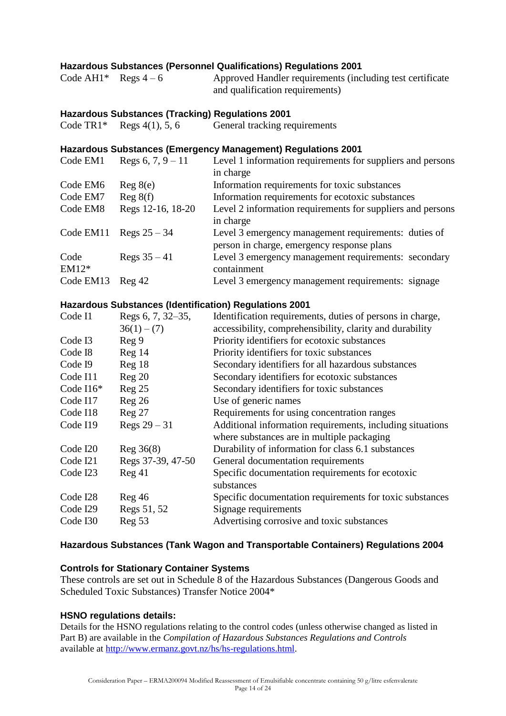### **Hazardous Substances (Personnel Qualifications) Regulations 2001**

| Code AH1* Regs $4-6$ | Approved Handler requirements (including test certificate |
|----------------------|-----------------------------------------------------------|
|                      | and qualification requirements)                           |

### **Hazardous Substances (Tracking) Regulations 2001**

|  |  | Code TR1* Regs $4(1)$ , 5, 6 | General tracking requirements |
|--|--|------------------------------|-------------------------------|
|--|--|------------------------------|-------------------------------|

### **Hazardous Substances (Emergency Management) Regulations 2001**

| Code EM1        | Regs $6, 7, 9 - 11$ | Level 1 information requirements for suppliers and persons                                         |
|-----------------|---------------------|----------------------------------------------------------------------------------------------------|
|                 |                     | in charge                                                                                          |
| Code EM6        | Reg 8(e)            | Information requirements for toxic substances                                                      |
| Code EM7        | Reg 8(f)            | Information requirements for ecotoxic substances                                                   |
| Code EM8        | Regs 12-16, 18-20   | Level 2 information requirements for suppliers and persons<br>in charge                            |
| Code EM11       | Regs $25 - 34$      | Level 3 emergency management requirements: duties of<br>person in charge, emergency response plans |
| Code<br>$EM12*$ | Regs $35 - 41$      | Level 3 emergency management requirements: secondary<br>containment                                |
| Code EM13       | $\text{Reg }42$     | Level 3 emergency management requirements: signage                                                 |

#### **Hazardous Substances (Identification) Regulations 2001**

| Code I1     | Regs 6, 7, 32–35, | Identification requirements, duties of persons in charge, |
|-------------|-------------------|-----------------------------------------------------------|
|             | $36(1) - (7)$     | accessibility, comprehensibility, clarity and durability  |
| Code I3     | Reg 9             | Priority identifiers for ecotoxic substances              |
| Code I8     | Reg 14            | Priority identifiers for toxic substances                 |
| Code I9     | Reg 18            | Secondary identifiers for all hazardous substances        |
| Code I11    | Reg <sub>20</sub> | Secondary identifiers for ecotoxic substances             |
| Code $116*$ | Reg <sub>25</sub> | Secondary identifiers for toxic substances                |
| Code I17    | Reg26             | Use of generic names                                      |
| Code I18    | Reg <sub>27</sub> | Requirements for using concentration ranges               |
| Code I19    | Regs $29 - 31$    | Additional information requirements, including situations |
|             |                   | where substances are in multiple packaging                |
| Code I20    | Reg 36(8)         | Durability of information for class 6.1 substances        |
| Code I21    | Regs 37-39, 47-50 | General documentation requirements                        |
| Code I23    | Reg 41            | Specific documentation requirements for ecotoxic          |
|             |                   | substances                                                |
| Code I28    | Reg46             | Specific documentation requirements for toxic substances  |
| Code I29    | Regs 51, 52       | Signage requirements                                      |
| Code I30    | Reg 53            | Advertising corrosive and toxic substances                |

### **Hazardous Substances (Tank Wagon and Transportable Containers) Regulations 2004**

### **Controls for Stationary Container Systems**

These controls are set out in Schedule 8 of the Hazardous Substances (Dangerous Goods and Scheduled Toxic Substances) Transfer Notice 2004\*

### **HSNO regulations details:**

Details for the HSNO regulations relating to the control codes (unless otherwise changed as listed in Part B) are available in the *Compilation of Hazardous Substances Regulations and Controls* available at [http://www.ermanz.govt.nz/hs/hs-regulations.html.](http://www.ermanz.govt.nz/hs/hs-regulations.html)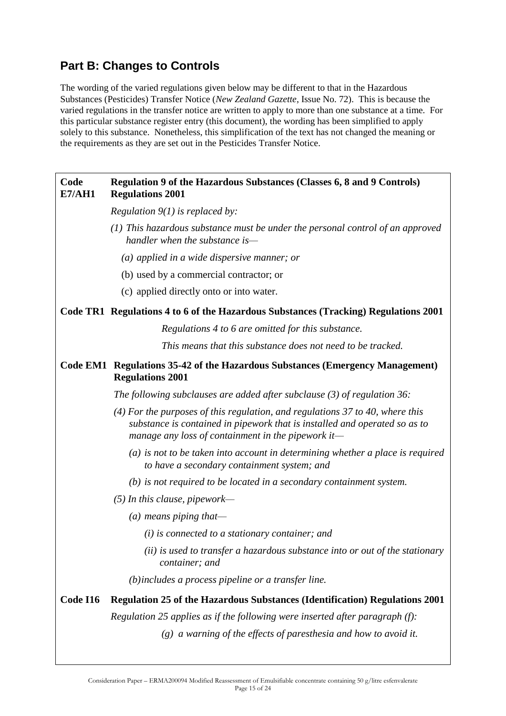## **Part B: Changes to Controls**

The wording of the varied regulations given below may be different to that in the Hazardous Substances (Pesticides) Transfer Notice (*New Zealand Gazette*, Issue No. 72). This is because the varied regulations in the transfer notice are written to apply to more than one substance at a time. For this particular substance register entry (this document), the wording has been simplified to apply solely to this substance. Nonetheless, this simplification of the text has not changed the meaning or the requirements as they are set out in the Pesticides Transfer Notice.

#### **Code E7/AH1 Regulation 9 of the Hazardous Substances (Classes 6, 8 and 9 Controls) Regulations 2001**

*Regulation 9(1) is replaced by:*

- *(1) This hazardous substance must be under the personal control of an approved handler when the substance is—*
	- *(a) applied in a wide dispersive manner; or*
	- (b) used by a commercial contractor; or
	- (c) applied directly onto or into water.

### **Code TR1 Regulations 4 to 6 of the Hazardous Substances (Tracking) Regulations 2001**

*Regulations 4 to 6 are omitted for this substance.* 

*This means that this substance does not need to be tracked.*

### **Code EM12 Regulations 35-42 of the Hazardous Substances (Emergency Management) Regulations 2001**

*The following subclauses are added after subclause (3) of regulation 36:*

- *(4) For the purposes of this regulation, and regulations 37 to 40, where this substance is contained in pipework that is installed and operated so as to manage any loss of containment in the pipework it—*
	- *(a) is not to be taken into account in determining whether a place is required to have a secondary containment system; and*
	- *(b) is not required to be located in a secondary containment system.*
- *(5) In this clause, pipework—*
	- *(a) means piping that—*
		- *(i) is connected to a stationary container; and*
		- *(ii) is used to transfer a hazardous substance into or out of the stationary container; and*

*(b)includes a process pipeline or a transfer line.*

### **Code I16 Regulation 25 of the Hazardous Substances (Identification) Regulations 2001**

*Regulation 25 applies as if the following were inserted after paragraph (f):*

*(g) a warning of the effects of paresthesia and how to avoid it.*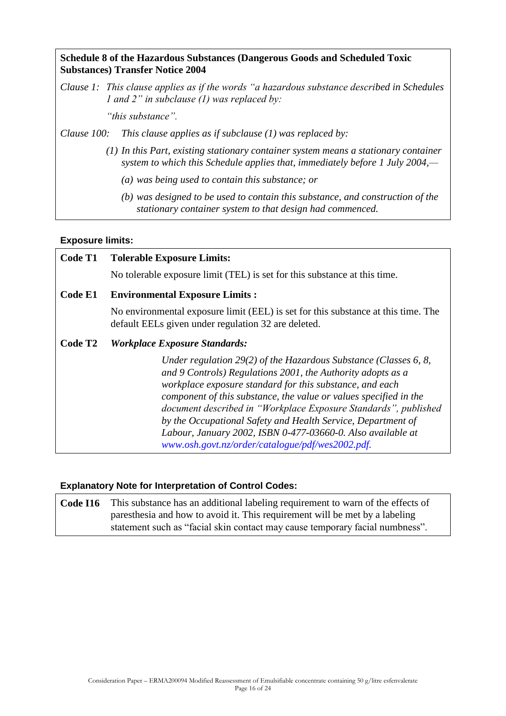### **Schedule 8 of the Hazardous Substances (Dangerous Goods and Scheduled Toxic Substances) Transfer Notice 2004**

*Clause 1: This clause applies as if the words "a hazardous substance described in Schedules 1 and 2" in subclause (1) was replaced by:*

*"this substance".*

*Clause 100: This clause applies as if subclause (1) was replaced by:*

- *(1) In this Part, existing stationary container system means a stationary container system to which this Schedule applies that, immediately before 1 July 2004,—*
	- *(a) was being used to contain this substance; or*
	- *(b) was designed to be used to contain this substance, and construction of the stationary container system to that design had commenced.*

### **Exposure limits:**

| Code T1             | <b>Tolerable Exposure Limits:</b>                                                                                                                                                                                                                                                                                                                                                                                                                                                                                      |
|---------------------|------------------------------------------------------------------------------------------------------------------------------------------------------------------------------------------------------------------------------------------------------------------------------------------------------------------------------------------------------------------------------------------------------------------------------------------------------------------------------------------------------------------------|
|                     | No tolerable exposure limit (TEL) is set for this substance at this time.                                                                                                                                                                                                                                                                                                                                                                                                                                              |
| Code E1             | <b>Environmental Exposure Limits:</b>                                                                                                                                                                                                                                                                                                                                                                                                                                                                                  |
|                     | No environmental exposure limit (EEL) is set for this substance at this time. The<br>default EELs given under regulation 32 are deleted.                                                                                                                                                                                                                                                                                                                                                                               |
| Code T <sub>2</sub> | <b>Workplace Exposure Standards:</b>                                                                                                                                                                                                                                                                                                                                                                                                                                                                                   |
|                     | Under regulation 29(2) of the Hazardous Substance (Classes 6, 8,<br>and 9 Controls) Regulations 2001, the Authority adopts as a<br>workplace exposure standard for this substance, and each<br>component of this substance, the value or values specified in the<br>document described in "Workplace Exposure Standards", published<br>by the Occupational Safety and Health Service, Department of<br>Labour, January 2002, ISBN 0-477-03660-0. Also available at<br>www.osh.govt.nz/order/catalogue/pdf/wes2002.pdf. |

### **Explanatory Note for Interpretation of Control Codes:**

**Code I16** This substance has an additional labeling requirement to warn of the effects of paresthesia and how to avoid it. This requirement will be met by a labeling statement such as "facial skin contact may cause temporary facial numbness".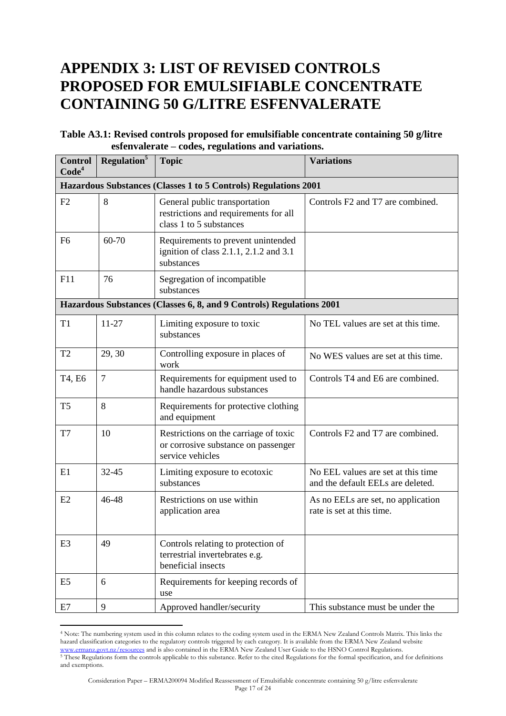# **APPENDIX 3: LIST OF REVISED CONTROLS PROPOSED FOR EMULSIFIABLE CONCENTRATE CONTAINING 50 G/LITRE ESFENVALERATE**

### **Table A3.1: Revised controls proposed for emulsifiable concentrate containing 50 g/litre esfenvalerate – codes, regulations and variations.**

| <b>Control</b><br>Code <sup>4</sup> | Regulation <sup>5</sup> | <b>Topic</b>                                                                                      | <b>Variations</b>                                                       |
|-------------------------------------|-------------------------|---------------------------------------------------------------------------------------------------|-------------------------------------------------------------------------|
|                                     |                         | Hazardous Substances (Classes 1 to 5 Controls) Regulations 2001                                   |                                                                         |
| F <sub>2</sub>                      | 8                       | General public transportation<br>restrictions and requirements for all<br>class 1 to 5 substances | Controls F2 and T7 are combined.                                        |
| F <sub>6</sub>                      | 60-70                   | Requirements to prevent unintended<br>ignition of class 2.1.1, 2.1.2 and 3.1<br>substances        |                                                                         |
| F11                                 | 76                      | Segregation of incompatible<br>substances                                                         |                                                                         |
|                                     |                         | Hazardous Substances (Classes 6, 8, and 9 Controls) Regulations 2001                              |                                                                         |
| T <sub>1</sub>                      | $11 - 27$               | Limiting exposure to toxic<br>substances                                                          | No TEL values are set at this time.                                     |
| T <sub>2</sub>                      | 29, 30                  | Controlling exposure in places of<br>work                                                         | No WES values are set at this time.                                     |
| T4, E6                              | $\overline{7}$          | Requirements for equipment used to<br>handle hazardous substances                                 | Controls T4 and E6 are combined.                                        |
| T <sub>5</sub>                      | 8                       | Requirements for protective clothing<br>and equipment                                             |                                                                         |
| T7                                  | 10                      | Restrictions on the carriage of toxic<br>or corrosive substance on passenger<br>service vehicles  | Controls F2 and T7 are combined.                                        |
| E1                                  | 32-45                   | Limiting exposure to ecotoxic<br>substances                                                       | No EEL values are set at this time<br>and the default EELs are deleted. |
| E2                                  | 46-48                   | Restrictions on use within<br>application area                                                    | As no EELs are set, no application<br>rate is set at this time.         |
| E <sub>3</sub>                      | 49                      | Controls relating to protection of<br>terrestrial invertebrates e.g.<br>beneficial insects        |                                                                         |
| E <sub>5</sub>                      | 6                       | Requirements for keeping records of<br>use                                                        |                                                                         |
| E7                                  | 9                       | Approved handler/security                                                                         | This substance must be under the                                        |

<sup>4</sup> Note: The numbering system used in this column relates to the coding system used in the ERMA New Zealand Controls Matrix. This links the hazard classification categories to the regulatory controls triggered by each category. It is available from the ERMA New Zealand website [www.ermanz.govt.nz/resources](http://www.ermanz.govt.nz/resources) and is also contained in the ERMA New Zealand User Guide to the HSNO Control Regulations. <sup>5</sup> These Regulations form the controls applicable to this substance. Refer to the cited Regulations for the formal specification, and for definitions

 $\overline{a}$ 

and exemptions.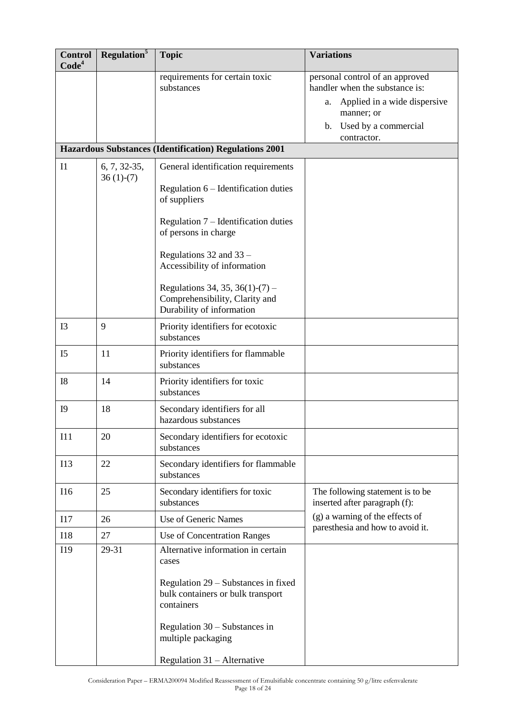| <b>Control</b><br>Code <sup>4</sup> | Regulation <sup>5</sup>       | <b>Topic</b>                                                                                   | <b>Variations</b>                                                                                                                                               |
|-------------------------------------|-------------------------------|------------------------------------------------------------------------------------------------|-----------------------------------------------------------------------------------------------------------------------------------------------------------------|
|                                     |                               | requirements for certain toxic<br>substances                                                   | personal control of an approved<br>handler when the substance is:<br>Applied in a wide dispersive<br>a.<br>manner; or<br>b. Used by a commercial<br>contractor. |
|                                     |                               | Hazardous Substances (Identification) Regulations 2001                                         |                                                                                                                                                                 |
| $_{\rm II}$                         | $6, 7, 32-35,$<br>$36(1)-(7)$ | General identification requirements<br>Regulation $6$ – Identification duties                  |                                                                                                                                                                 |
|                                     |                               | of suppliers<br>Regulation $7$ – Identification duties                                         |                                                                                                                                                                 |
|                                     |                               | of persons in charge<br>Regulations 32 and 33 -<br>Accessibility of information                |                                                                                                                                                                 |
|                                     |                               | Regulations 34, 35, 36(1)-(7) –<br>Comprehensibility, Clarity and<br>Durability of information |                                                                                                                                                                 |
| I <sub>3</sub>                      | 9                             | Priority identifiers for ecotoxic<br>substances                                                |                                                                                                                                                                 |
| I <sub>5</sub>                      | 11                            | Priority identifiers for flammable<br>substances                                               |                                                                                                                                                                 |
| <b>I8</b>                           | 14                            | Priority identifiers for toxic<br>substances                                                   |                                                                                                                                                                 |
| <b>I9</b>                           | 18                            | Secondary identifiers for all<br>hazardous substances                                          |                                                                                                                                                                 |
| I11                                 | 20                            | Secondary identifiers for ecotoxic<br>substances                                               |                                                                                                                                                                 |
| I13                                 | 22                            | Secondary identifiers for flammable<br>substances                                              |                                                                                                                                                                 |
| I16                                 | 25                            | Secondary identifiers for toxic<br>substances                                                  | The following statement is to be<br>inserted after paragraph (f):                                                                                               |
| 117                                 | 26                            | Use of Generic Names                                                                           | (g) a warning of the effects of                                                                                                                                 |
| <b>I18</b>                          | 27                            | Use of Concentration Ranges                                                                    | paresthesia and how to avoid it.                                                                                                                                |
| I19                                 | 29-31                         | Alternative information in certain<br>cases                                                    |                                                                                                                                                                 |
|                                     |                               | Regulation 29 – Substances in fixed<br>bulk containers or bulk transport<br>containers         |                                                                                                                                                                 |
|                                     |                               | Regulation $30 -$ Substances in<br>multiple packaging                                          |                                                                                                                                                                 |
|                                     |                               | Regulation $31 -$ Alternative                                                                  |                                                                                                                                                                 |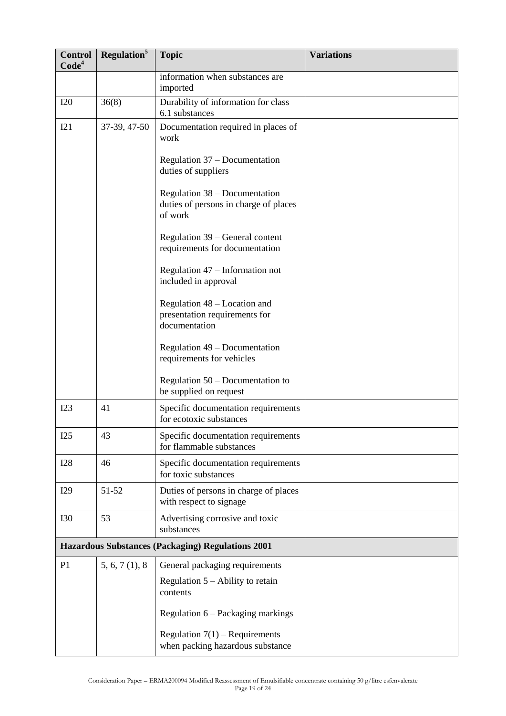| <b>Control</b><br>Code <sup>4</sup>                      | Regulation <sup>5</sup> | <b>Topic</b>                                                                      | <b>Variations</b> |
|----------------------------------------------------------|-------------------------|-----------------------------------------------------------------------------------|-------------------|
|                                                          |                         | information when substances are<br>imported                                       |                   |
| I20                                                      | 36(8)                   | Durability of information for class<br>6.1 substances                             |                   |
| I21                                                      | 37-39, 47-50            | Documentation required in places of<br>work                                       |                   |
|                                                          |                         | Regulation 37 – Documentation<br>duties of suppliers                              |                   |
|                                                          |                         | Regulation 38 – Documentation<br>duties of persons in charge of places<br>of work |                   |
|                                                          |                         | Regulation 39 – General content<br>requirements for documentation                 |                   |
|                                                          |                         | Regulation 47 – Information not<br>included in approval                           |                   |
|                                                          |                         | Regulation 48 – Location and<br>presentation requirements for<br>documentation    |                   |
|                                                          |                         | Regulation 49 – Documentation<br>requirements for vehicles                        |                   |
|                                                          |                         | Regulation $50 - Doc$ umentation to<br>be supplied on request                     |                   |
| I23                                                      | 41                      | Specific documentation requirements<br>for ecotoxic substances                    |                   |
| I25                                                      | 43                      | Specific documentation requirements<br>for flammable substances                   |                   |
| <b>I28</b>                                               | 46                      | Specific documentation requirements<br>for toxic substances                       |                   |
| I29                                                      | 51-52                   | Duties of persons in charge of places<br>with respect to signage                  |                   |
| <b>I30</b>                                               | 53                      | Advertising corrosive and toxic<br>substances                                     |                   |
| <b>Hazardous Substances (Packaging) Regulations 2001</b> |                         |                                                                                   |                   |
| P <sub>1</sub>                                           | 5, 6, 7(1), 8           | General packaging requirements                                                    |                   |
|                                                          |                         | Regulation $5 -$ Ability to retain<br>contents                                    |                   |
|                                                          |                         | Regulation 6 - Packaging markings                                                 |                   |
|                                                          |                         | Regulation $7(1)$ – Requirements<br>when packing hazardous substance              |                   |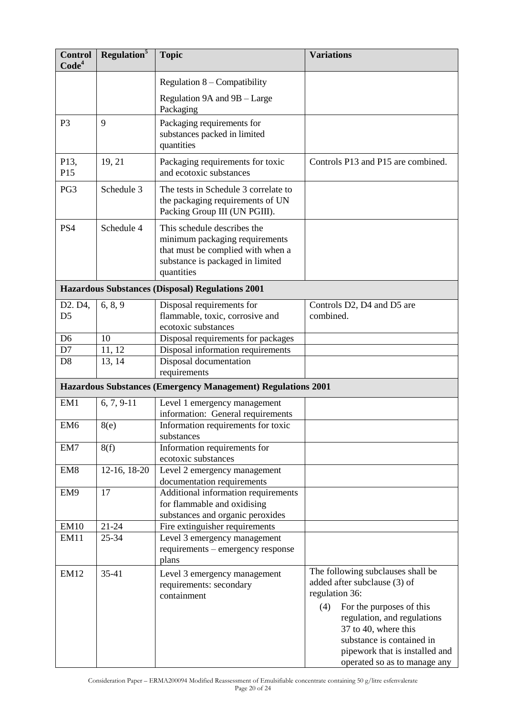| <b>Control</b><br>Code <sup>4</sup> | Regulation <sup>5</sup> | <b>Topic</b>                                                                                                                                         | <b>Variations</b>                                                                                                                                                                                                                                                            |
|-------------------------------------|-------------------------|------------------------------------------------------------------------------------------------------------------------------------------------------|------------------------------------------------------------------------------------------------------------------------------------------------------------------------------------------------------------------------------------------------------------------------------|
|                                     |                         | Regulation $8$ – Compatibility                                                                                                                       |                                                                                                                                                                                                                                                                              |
|                                     |                         | Regulation 9A and 9B - Large<br>Packaging                                                                                                            |                                                                                                                                                                                                                                                                              |
| P <sub>3</sub>                      | 9                       | Packaging requirements for<br>substances packed in limited<br>quantities                                                                             |                                                                                                                                                                                                                                                                              |
| P13,<br>P15                         | 19, 21                  | Packaging requirements for toxic<br>and ecotoxic substances                                                                                          | Controls P13 and P15 are combined.                                                                                                                                                                                                                                           |
| PG3                                 | Schedule 3              | The tests in Schedule 3 correlate to<br>the packaging requirements of UN<br>Packing Group III (UN PGIII).                                            |                                                                                                                                                                                                                                                                              |
| PS4                                 | Schedule 4              | This schedule describes the<br>minimum packaging requirements<br>that must be complied with when a<br>substance is packaged in limited<br>quantities |                                                                                                                                                                                                                                                                              |
|                                     |                         | <b>Hazardous Substances (Disposal) Regulations 2001</b>                                                                                              |                                                                                                                                                                                                                                                                              |
| D2. D4,<br>D <sub>5</sub>           | 6, 8, 9                 | Disposal requirements for<br>flammable, toxic, corrosive and<br>ecotoxic substances                                                                  | Controls D2, D4 and D5 are<br>combined.                                                                                                                                                                                                                                      |
| D <sub>6</sub>                      | 10                      | Disposal requirements for packages                                                                                                                   |                                                                                                                                                                                                                                                                              |
| D7                                  | 11, 12                  | Disposal information requirements                                                                                                                    |                                                                                                                                                                                                                                                                              |
| D <sub>8</sub>                      | 13, 14                  | Disposal documentation<br>requirements                                                                                                               |                                                                                                                                                                                                                                                                              |
|                                     |                         | Hazardous Substances (Emergency Management) Regulations 2001                                                                                         |                                                                                                                                                                                                                                                                              |
| EM1                                 | $6, 7, 9-11$            | Level 1 emergency management                                                                                                                         |                                                                                                                                                                                                                                                                              |
|                                     |                         | information: General requirements                                                                                                                    |                                                                                                                                                                                                                                                                              |
| EM <sub>6</sub>                     | 8(e)                    | Information requirements for toxic<br>substances                                                                                                     |                                                                                                                                                                                                                                                                              |
| EM7                                 | 8(f)                    | Information requirements for<br>ecotoxic substances                                                                                                  |                                                                                                                                                                                                                                                                              |
| EM <sub>8</sub>                     | 12-16, 18-20            | Level 2 emergency management                                                                                                                         |                                                                                                                                                                                                                                                                              |
|                                     |                         | documentation requirements                                                                                                                           |                                                                                                                                                                                                                                                                              |
| EM9                                 | 17                      | Additional information requirements<br>for flammable and oxidising                                                                                   |                                                                                                                                                                                                                                                                              |
|                                     |                         | substances and organic peroxides                                                                                                                     |                                                                                                                                                                                                                                                                              |
| <b>EM10</b>                         | $21 - 24$               | Fire extinguisher requirements                                                                                                                       |                                                                                                                                                                                                                                                                              |
| EM11                                | 25-34                   | Level 3 emergency management<br>requirements – emergency response                                                                                    |                                                                                                                                                                                                                                                                              |
|                                     |                         | plans                                                                                                                                                |                                                                                                                                                                                                                                                                              |
| <b>EM12</b>                         | 35-41                   | Level 3 emergency management<br>requirements: secondary<br>containment                                                                               | The following subclauses shall be<br>added after subclause (3) of<br>regulation 36:<br>For the purposes of this<br>(4)<br>regulation, and regulations<br>37 to 40, where this<br>substance is contained in<br>pipework that is installed and<br>operated so as to manage any |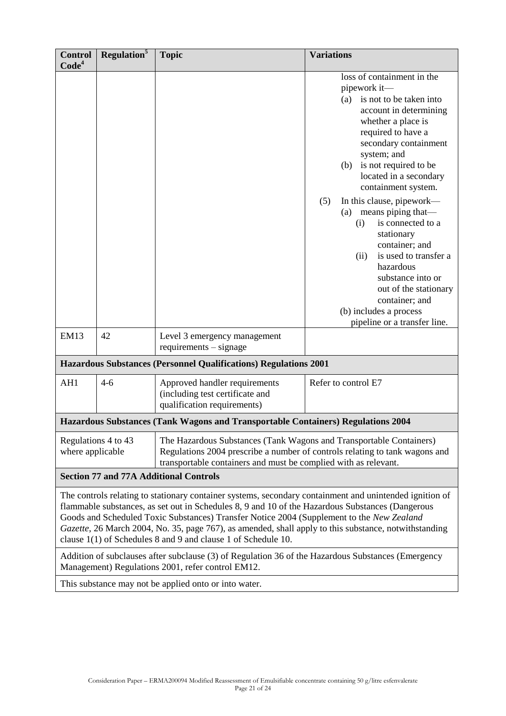| <b>Control</b><br>Code <sup>4</sup>                                                                                                                                                                                                                                                                                                                                                                                                                                                | <b>Regulation</b> <sup>5</sup> | <b>Topic</b>                                                                                                                                                                                                          | <b>Variations</b>                                                                                                                                                                                                                                                                                                                                                                                                                                                                                                                                                             |
|------------------------------------------------------------------------------------------------------------------------------------------------------------------------------------------------------------------------------------------------------------------------------------------------------------------------------------------------------------------------------------------------------------------------------------------------------------------------------------|--------------------------------|-----------------------------------------------------------------------------------------------------------------------------------------------------------------------------------------------------------------------|-------------------------------------------------------------------------------------------------------------------------------------------------------------------------------------------------------------------------------------------------------------------------------------------------------------------------------------------------------------------------------------------------------------------------------------------------------------------------------------------------------------------------------------------------------------------------------|
|                                                                                                                                                                                                                                                                                                                                                                                                                                                                                    |                                |                                                                                                                                                                                                                       | loss of containment in the<br>pipework it-<br>is not to be taken into<br>(a)<br>account in determining<br>whether a place is<br>required to have a<br>secondary containment<br>system; and<br>is not required to be<br>(b)<br>located in a secondary<br>containment system.<br>In this clause, pipework—<br>(5)<br>(a) means piping that—<br>is connected to a<br>(i)<br>stationary<br>container; and<br>is used to transfer a<br>(ii)<br>hazardous<br>substance into or<br>out of the stationary<br>container; and<br>(b) includes a process<br>pipeline or a transfer line. |
| <b>EM13</b>                                                                                                                                                                                                                                                                                                                                                                                                                                                                        | 42                             | Level 3 emergency management<br>$requirements - signature$                                                                                                                                                            |                                                                                                                                                                                                                                                                                                                                                                                                                                                                                                                                                                               |
|                                                                                                                                                                                                                                                                                                                                                                                                                                                                                    |                                | <b>Hazardous Substances (Personnel Qualifications) Regulations 2001</b>                                                                                                                                               |                                                                                                                                                                                                                                                                                                                                                                                                                                                                                                                                                                               |
| AH1                                                                                                                                                                                                                                                                                                                                                                                                                                                                                | $4 - 6$                        | Approved handler requirements<br>(including test certificate and<br>qualification requirements)                                                                                                                       | Refer to control E7                                                                                                                                                                                                                                                                                                                                                                                                                                                                                                                                                           |
|                                                                                                                                                                                                                                                                                                                                                                                                                                                                                    |                                | Hazardous Substances (Tank Wagons and Transportable Containers) Regulations 2004                                                                                                                                      |                                                                                                                                                                                                                                                                                                                                                                                                                                                                                                                                                                               |
| Regulations 4 to 43<br>where applicable                                                                                                                                                                                                                                                                                                                                                                                                                                            |                                | The Hazardous Substances (Tank Wagons and Transportable Containers)<br>Regulations 2004 prescribe a number of controls relating to tank wagons and<br>transportable containers and must be complied with as relevant. |                                                                                                                                                                                                                                                                                                                                                                                                                                                                                                                                                                               |
| <b>Section 77 and 77A Additional Controls</b>                                                                                                                                                                                                                                                                                                                                                                                                                                      |                                |                                                                                                                                                                                                                       |                                                                                                                                                                                                                                                                                                                                                                                                                                                                                                                                                                               |
| The controls relating to stationary container systems, secondary containment and unintended ignition of<br>flammable substances, as set out in Schedules 8, 9 and 10 of the Hazardous Substances (Dangerous<br>Goods and Scheduled Toxic Substances) Transfer Notice 2004 (Supplement to the New Zealand<br>Gazette, 26 March 2004, No. 35, page 767), as amended, shall apply to this substance, notwithstanding<br>clause 1(1) of Schedules 8 and 9 and clause 1 of Schedule 10. |                                |                                                                                                                                                                                                                       |                                                                                                                                                                                                                                                                                                                                                                                                                                                                                                                                                                               |
| Addition of subclauses after subclause (3) of Regulation 36 of the Hazardous Substances (Emergency<br>Management) Regulations 2001, refer control EM12.                                                                                                                                                                                                                                                                                                                            |                                |                                                                                                                                                                                                                       |                                                                                                                                                                                                                                                                                                                                                                                                                                                                                                                                                                               |
| This substance may not be applied onto or into water.                                                                                                                                                                                                                                                                                                                                                                                                                              |                                |                                                                                                                                                                                                                       |                                                                                                                                                                                                                                                                                                                                                                                                                                                                                                                                                                               |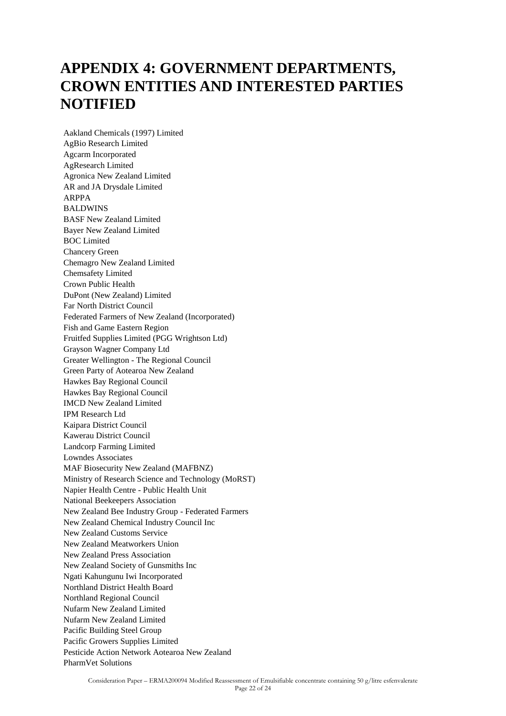# **APPENDIX 4: GOVERNMENT DEPARTMENTS, CROWN ENTITIES AND INTERESTED PARTIES NOTIFIED**

Aakland Chemicals (1997) Limited AgBio Research Limited Agcarm Incorporated AgResearch Limited Agronica New Zealand Limited AR and JA Drysdale Limited ARPPA BALDWINS BASF New Zealand Limited Bayer New Zealand Limited BOC Limited Chancery Green Chemagro New Zealand Limited Chemsafety Limited Crown Public Health DuPont (New Zealand) Limited Far North District Council Federated Farmers of New Zealand (Incorporated) Fish and Game Eastern Region Fruitfed Supplies Limited (PGG Wrightson Ltd) Grayson Wagner Company Ltd Greater Wellington - The Regional Council Green Party of Aotearoa New Zealand Hawkes Bay Regional Council Hawkes Bay Regional Council IMCD New Zealand Limited IPM Research Ltd Kaipara District Council Kawerau District Council Landcorp Farming Limited Lowndes Associates MAF Biosecurity New Zealand (MAFBNZ) Ministry of Research Science and Technology (MoRST) Napier Health Centre - Public Health Unit National Beekeepers Association New Zealand Bee Industry Group - Federated Farmers New Zealand Chemical Industry Council Inc New Zealand Customs Service New Zealand Meatworkers Union New Zealand Press Association New Zealand Society of Gunsmiths Inc Ngati Kahungunu Iwi Incorporated Northland District Health Board Northland Regional Council Nufarm New Zealand Limited Nufarm New Zealand Limited Pacific Building Steel Group Pacific Growers Supplies Limited Pesticide Action Network Aotearoa New Zealand PharmVet Solutions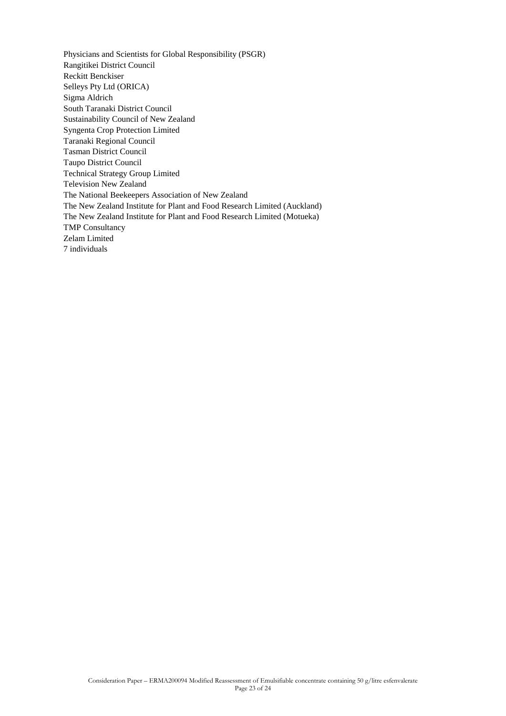Physicians and Scientists for Global Responsibility (PSGR) Rangitikei District Council Reckitt Benckiser Selleys Pty Ltd (ORICA) Sigma Aldrich South Taranaki District Council Sustainability Council of New Zealand Syngenta Crop Protection Limited Taranaki Regional Council Tasman District Council Taupo District Council Technical Strategy Group Limited Television New Zealand The National Beekeepers Association of New Zealand The New Zealand Institute for Plant and Food Research Limited (Auckland) The New Zealand Institute for Plant and Food Research Limited (Motueka) TMP Consultancy Zelam Limited 7 individuals